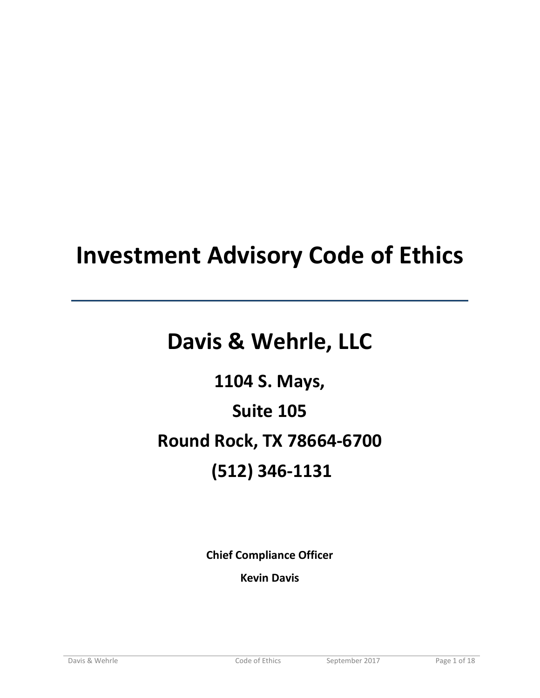# **Investment Advisory Code of Ethics**

# **Davis & Wehrle, LLC**

**1104 S. Mays, Suite 105 Round Rock, TX 78664-6700 (512) 346-1131**

**Chief Compliance Officer**

**Kevin Davis**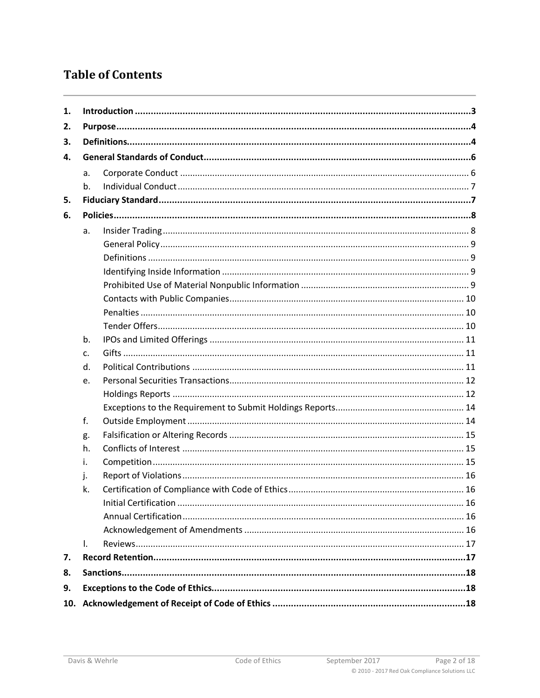# **Table of Contents**

| 1.  |             |  |  |  |
|-----|-------------|--|--|--|
| 2.  |             |  |  |  |
| 3.  |             |  |  |  |
| 4.  |             |  |  |  |
|     | a.          |  |  |  |
|     | b.          |  |  |  |
| 5.  |             |  |  |  |
| 6.  |             |  |  |  |
|     | a.          |  |  |  |
|     |             |  |  |  |
|     |             |  |  |  |
|     |             |  |  |  |
|     |             |  |  |  |
|     |             |  |  |  |
|     |             |  |  |  |
|     |             |  |  |  |
|     | b.          |  |  |  |
|     | $C_{\cdot}$ |  |  |  |
|     | d.          |  |  |  |
|     | e.          |  |  |  |
|     |             |  |  |  |
|     |             |  |  |  |
|     | f.          |  |  |  |
|     | g.          |  |  |  |
|     | h.          |  |  |  |
|     | i.          |  |  |  |
|     | j.          |  |  |  |
|     | k.          |  |  |  |
|     |             |  |  |  |
|     |             |  |  |  |
|     |             |  |  |  |
|     | I.          |  |  |  |
| 7.  |             |  |  |  |
| 8.  |             |  |  |  |
| 9.  |             |  |  |  |
| 10. |             |  |  |  |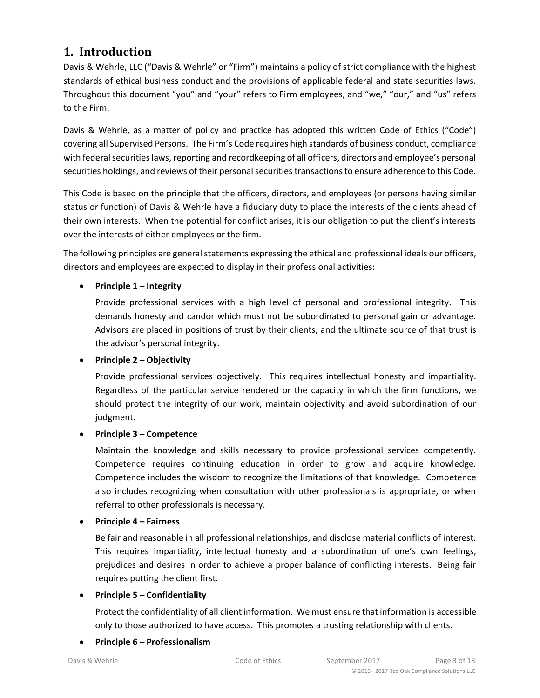# <span id="page-2-0"></span>**1. Introduction**

Davis & Wehrle, LLC ("Davis & Wehrle" or "Firm") maintains a policy of strict compliance with the highest standards of ethical business conduct and the provisions of applicable federal and state securities laws. Throughout this document "you" and "your" refers to Firm employees, and "we," "our," and "us" refers to the Firm.

Davis & Wehrle, as a matter of policy and practice has adopted this written Code of Ethics ("Code") covering all Supervised Persons. The Firm's Code requires high standards of business conduct, compliance with federal securities laws, reporting and recordkeeping of all officers, directors and employee's personal securities holdings, and reviews of their personal securities transactions to ensure adherence to this Code.

This Code is based on the principle that the officers, directors, and employees (or persons having similar status or function) of Davis & Wehrle have a fiduciary duty to place the interests of the clients ahead of their own interests. When the potential for conflict arises, it is our obligation to put the client's interests over the interests of either employees or the firm.

The following principles are general statements expressing the ethical and professional ideals our officers, directors and employees are expected to display in their professional activities:

#### • **Principle 1 – Integrity**

Provide professional services with a high level of personal and professional integrity. This demands honesty and candor which must not be subordinated to personal gain or advantage. Advisors are placed in positions of trust by their clients, and the ultimate source of that trust is the advisor's personal integrity.

#### • **Principle 2 – Objectivity**

Provide professional services objectively. This requires intellectual honesty and impartiality. Regardless of the particular service rendered or the capacity in which the firm functions, we should protect the integrity of our work, maintain objectivity and avoid subordination of our judgment.

#### • **Principle 3 – Competence**

Maintain the knowledge and skills necessary to provide professional services competently. Competence requires continuing education in order to grow and acquire knowledge. Competence includes the wisdom to recognize the limitations of that knowledge. Competence also includes recognizing when consultation with other professionals is appropriate, or when referral to other professionals is necessary.

#### • **Principle 4 – Fairness**

Be fair and reasonable in all professional relationships, and disclose material conflicts of interest. This requires impartiality, intellectual honesty and a subordination of one's own feelings, prejudices and desires in order to achieve a proper balance of conflicting interests. Being fair requires putting the client first.

#### • **Principle 5 – Confidentiality**

Protect the confidentiality of all client information. We must ensure that information is accessible only to those authorized to have access. This promotes a trusting relationship with clients.

#### • **Principle 6 – Professionalism**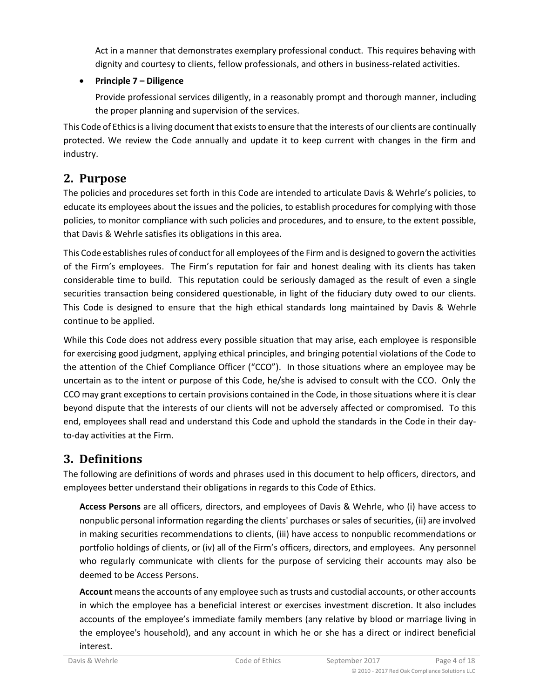Act in a manner that demonstrates exemplary professional conduct. This requires behaving with dignity and courtesy to clients, fellow professionals, and others in business-related activities.

## • **Principle 7 – Diligence**

Provide professional services diligently, in a reasonably prompt and thorough manner, including the proper planning and supervision of the services.

This Code of Ethics is a living document that exists to ensure that the interests of our clients are continually protected. We review the Code annually and update it to keep current with changes in the firm and industry.

# <span id="page-3-0"></span>**2. Purpose**

The policies and procedures set forth in this Code are intended to articulate Davis & Wehrle's policies, to educate its employees about the issues and the policies, to establish procedures for complying with those policies, to monitor compliance with such policies and procedures, and to ensure, to the extent possible, that Davis & Wehrle satisfies its obligations in this area.

This Code establishes rules of conduct for all employees of the Firm and is designed to govern the activities of the Firm's employees. The Firm's reputation for fair and honest dealing with its clients has taken considerable time to build. This reputation could be seriously damaged as the result of even a single securities transaction being considered questionable, in light of the fiduciary duty owed to our clients. This Code is designed to ensure that the high ethical standards long maintained by Davis & Wehrle continue to be applied.

While this Code does not address every possible situation that may arise, each employee is responsible for exercising good judgment, applying ethical principles, and bringing potential violations of the Code to the attention of the Chief Compliance Officer ("CCO"). In those situations where an employee may be uncertain as to the intent or purpose of this Code, he/she is advised to consult with the CCO. Only the CCO may grant exceptions to certain provisions contained in the Code, in those situations where it is clear beyond dispute that the interests of our clients will not be adversely affected or compromised. To this end, employees shall read and understand this Code and uphold the standards in the Code in their dayto-day activities at the Firm.

# <span id="page-3-1"></span>**3. Definitions**

The following are definitions of words and phrases used in this document to help officers, directors, and employees better understand their obligations in regards to this Code of Ethics.

**Access Persons** are all officers, directors, and employees of Davis & Wehrle, who (i) have access to nonpublic personal information regarding the clients' purchases or sales of securities, (ii) are involved in making securities recommendations to clients, (iii) have access to nonpublic recommendations or portfolio holdings of clients, or (iv) all of the Firm's officers, directors, and employees. Any personnel who regularly communicate with clients for the purpose of servicing their accounts may also be deemed to be Access Persons.

Account means the accounts of any employee such as trusts and custodial accounts, or other accounts in which the employee has a beneficial interest or exercises investment discretion. It also includes accounts of the employee's immediate family members (any relative by blood or marriage living in the employee's household), and any account in which he or she has a direct or indirect beneficial interest.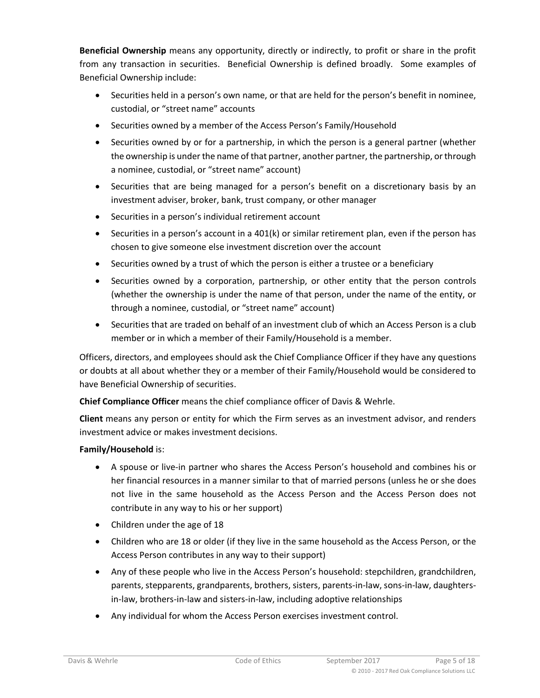**Beneficial Ownership** means any opportunity, directly or indirectly, to profit or share in the profit from any transaction in securities. Beneficial Ownership is defined broadly. Some examples of Beneficial Ownership include:

- Securities held in a person's own name, or that are held for the person's benefit in nominee, custodial, or "street name" accounts
- Securities owned by a member of the Access Person's Family/Household
- Securities owned by or for a partnership, in which the person is a general partner (whether the ownership is under the name of that partner, another partner, the partnership, or through a nominee, custodial, or "street name" account)
- Securities that are being managed for a person's benefit on a discretionary basis by an investment adviser, broker, bank, trust company, or other manager
- Securities in a person's individual retirement account
- Securities in a person's account in a 401(k) or similar retirement plan, even if the person has chosen to give someone else investment discretion over the account
- Securities owned by a trust of which the person is either a trustee or a beneficiary
- Securities owned by a corporation, partnership, or other entity that the person controls (whether the ownership is under the name of that person, under the name of the entity, or through a nominee, custodial, or "street name" account)
- Securities that are traded on behalf of an investment club of which an Access Person is a club member or in which a member of their Family/Household is a member.

Officers, directors, and employees should ask the Chief Compliance Officer if they have any questions or doubts at all about whether they or a member of their Family/Household would be considered to have Beneficial Ownership of securities.

**Chief Compliance Officer** means the chief compliance officer of Davis & Wehrle.

**Client** means any person or entity for which the Firm serves as an investment advisor, and renders investment advice or makes investment decisions.

#### **Family/Household** is:

- A spouse or live-in partner who shares the Access Person's household and combines his or her financial resources in a manner similar to that of married persons (unless he or she does not live in the same household as the Access Person and the Access Person does not contribute in any way to his or her support)
- Children under the age of 18
- Children who are 18 or older (if they live in the same household as the Access Person, or the Access Person contributes in any way to their support)
- Any of these people who live in the Access Person's household: stepchildren, grandchildren, parents, stepparents, grandparents, brothers, sisters, parents-in-law, sons-in-law, daughtersin-law, brothers-in-law and sisters-in-law, including adoptive relationships
- Any individual for whom the Access Person exercises investment control.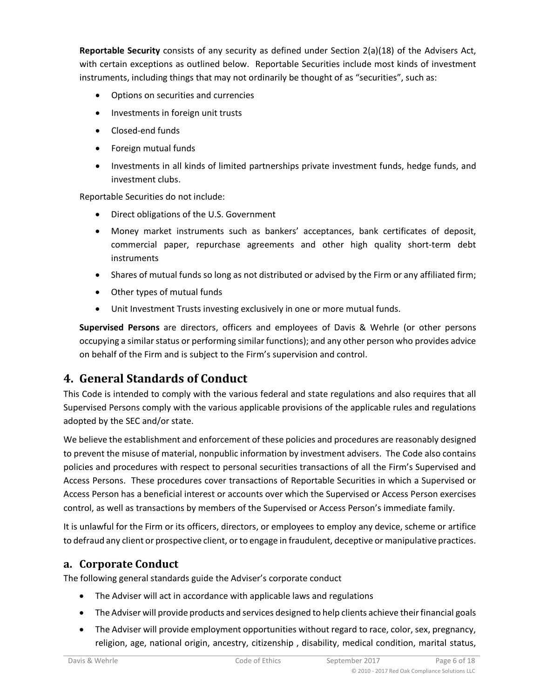**Reportable Security** consists of any security as defined under Section 2(a)(18) of the Advisers Act, with certain exceptions as outlined below. Reportable Securities include most kinds of investment instruments, including things that may not ordinarily be thought of as "securities", such as:

- Options on securities and currencies
- Investments in foreign unit trusts
- Closed-end funds
- Foreign mutual funds
- Investments in all kinds of limited partnerships private investment funds, hedge funds, and investment clubs.

Reportable Securities do not include:

- Direct obligations of the U.S. Government
- Money market instruments such as bankers' acceptances, bank certificates of deposit, commercial paper, repurchase agreements and other high quality short-term debt instruments
- Shares of mutual funds so long as not distributed or advised by the Firm or any affiliated firm;
- Other types of mutual funds
- Unit Investment Trusts investing exclusively in one or more mutual funds.

**Supervised Persons** are directors, officers and employees of Davis & Wehrle (or other persons occupying a similar status or performing similar functions); and any other person who provides advice on behalf of the Firm and is subject to the Firm's supervision and control.

# <span id="page-5-0"></span>**4. General Standards of Conduct**

This Code is intended to comply with the various federal and state regulations and also requires that all Supervised Persons comply with the various applicable provisions of the applicable rules and regulations adopted by the SEC and/or state.

We believe the establishment and enforcement of these policies and procedures are reasonably designed to prevent the misuse of material, nonpublic information by investment advisers. The Code also contains policies and procedures with respect to personal securities transactions of all the Firm's Supervised and Access Persons. These procedures cover transactions of Reportable Securities in which a Supervised or Access Person has a beneficial interest or accounts over which the Supervised or Access Person exercises control, as well as transactions by members of the Supervised or Access Person's immediate family.

It is unlawful for the Firm or its officers, directors, or employees to employ any device, scheme or artifice to defraud any client or prospective client, or to engage in fraudulent, deceptive or manipulative practices.

## <span id="page-5-1"></span>**a. Corporate Conduct**

The following general standards guide the Adviser's corporate conduct

- The Adviser will act in accordance with applicable laws and regulations
- The Adviser will provide products and services designed to help clients achieve their financial goals
- The Adviser will provide employment opportunities without regard to race, color, sex, pregnancy, religion, age, national origin, ancestry, citizenship , disability, medical condition, marital status,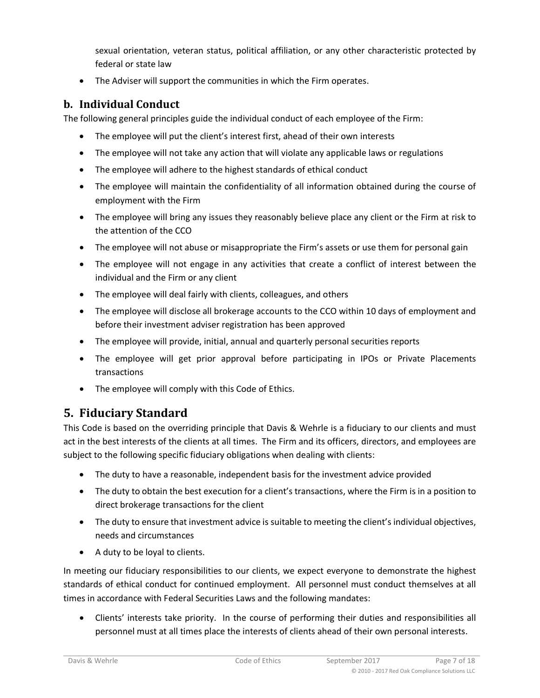sexual orientation, veteran status, political affiliation, or any other characteristic protected by federal or state law

• The Adviser will support the communities in which the Firm operates.

## <span id="page-6-0"></span>**b. Individual Conduct**

The following general principles guide the individual conduct of each employee of the Firm:

- The employee will put the client's interest first, ahead of their own interests
- The employee will not take any action that will violate any applicable laws or regulations
- The employee will adhere to the highest standards of ethical conduct
- The employee will maintain the confidentiality of all information obtained during the course of employment with the Firm
- The employee will bring any issues they reasonably believe place any client or the Firm at risk to the attention of the CCO
- The employee will not abuse or misappropriate the Firm's assets or use them for personal gain
- The employee will not engage in any activities that create a conflict of interest between the individual and the Firm or any client
- The employee will deal fairly with clients, colleagues, and others
- The employee will disclose all brokerage accounts to the CCO within 10 days of employment and before their investment adviser registration has been approved
- The employee will provide, initial, annual and quarterly personal securities reports
- The employee will get prior approval before participating in IPOs or Private Placements transactions
- The employee will comply with this Code of Ethics.

# <span id="page-6-1"></span>**5. Fiduciary Standard**

This Code is based on the overriding principle that Davis & Wehrle is a fiduciary to our clients and must act in the best interests of the clients at all times. The Firm and its officers, directors, and employees are subject to the following specific fiduciary obligations when dealing with clients:

- The duty to have a reasonable, independent basis for the investment advice provided
- The duty to obtain the best execution for a client's transactions, where the Firm is in a position to direct brokerage transactions for the client
- The duty to ensure that investment advice is suitable to meeting the client's individual objectives, needs and circumstances
- A duty to be loyal to clients.

In meeting our fiduciary responsibilities to our clients, we expect everyone to demonstrate the highest standards of ethical conduct for continued employment. All personnel must conduct themselves at all times in accordance with Federal Securities Laws and the following mandates:

• Clients' interests take priority. In the course of performing their duties and responsibilities all personnel must at all times place the interests of clients ahead of their own personal interests.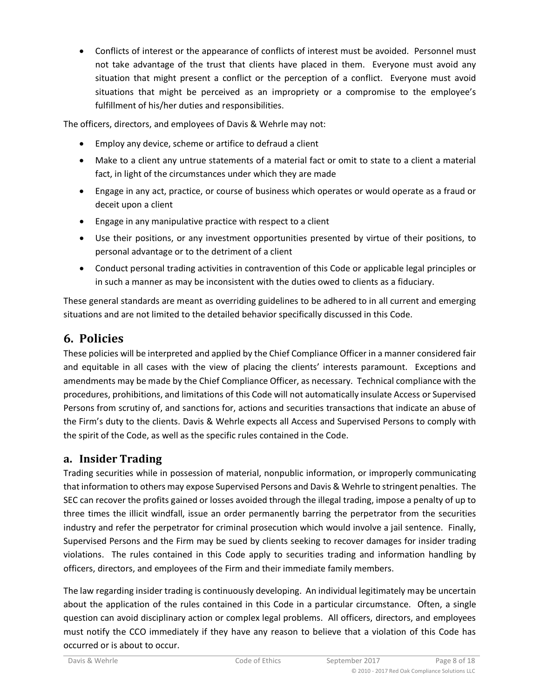• Conflicts of interest or the appearance of conflicts of interest must be avoided. Personnel must not take advantage of the trust that clients have placed in them. Everyone must avoid any situation that might present a conflict or the perception of a conflict. Everyone must avoid situations that might be perceived as an impropriety or a compromise to the employee's fulfillment of his/her duties and responsibilities.

The officers, directors, and employees of Davis & Wehrle may not:

- Employ any device, scheme or artifice to defraud a client
- Make to a client any untrue statements of a material fact or omit to state to a client a material fact, in light of the circumstances under which they are made
- Engage in any act, practice, or course of business which operates or would operate as a fraud or deceit upon a client
- Engage in any manipulative practice with respect to a client
- Use their positions, or any investment opportunities presented by virtue of their positions, to personal advantage or to the detriment of a client
- Conduct personal trading activities in contravention of this Code or applicable legal principles or in such a manner as may be inconsistent with the duties owed to clients as a fiduciary.

These general standards are meant as overriding guidelines to be adhered to in all current and emerging situations and are not limited to the detailed behavior specifically discussed in this Code.

# <span id="page-7-0"></span>**6. Policies**

These policies will be interpreted and applied by the Chief Compliance Officer in a manner considered fair and equitable in all cases with the view of placing the clients' interests paramount. Exceptions and amendments may be made by the Chief Compliance Officer, as necessary. Technical compliance with the procedures, prohibitions, and limitations of this Code will not automatically insulate Access or Supervised Persons from scrutiny of, and sanctions for, actions and securities transactions that indicate an abuse of the Firm's duty to the clients. Davis & Wehrle expects all Access and Supervised Persons to comply with the spirit of the Code, as well as the specific rules contained in the Code.

## <span id="page-7-1"></span>**a. Insider Trading**

Trading securities while in possession of material, nonpublic information, or improperly communicating that information to others may expose Supervised Persons and Davis & Wehrle to stringent penalties. The SEC can recover the profits gained or losses avoided through the illegal trading, impose a penalty of up to three times the illicit windfall, issue an order permanently barring the perpetrator from the securities industry and refer the perpetrator for criminal prosecution which would involve a jail sentence. Finally, Supervised Persons and the Firm may be sued by clients seeking to recover damages for insider trading violations. The rules contained in this Code apply to securities trading and information handling by officers, directors, and employees of the Firm and their immediate family members.

The law regarding insider trading is continuously developing. An individual legitimately may be uncertain about the application of the rules contained in this Code in a particular circumstance. Often, a single question can avoid disciplinary action or complex legal problems. All officers, directors, and employees must notify the CCO immediately if they have any reason to believe that a violation of this Code has occurred or is about to occur.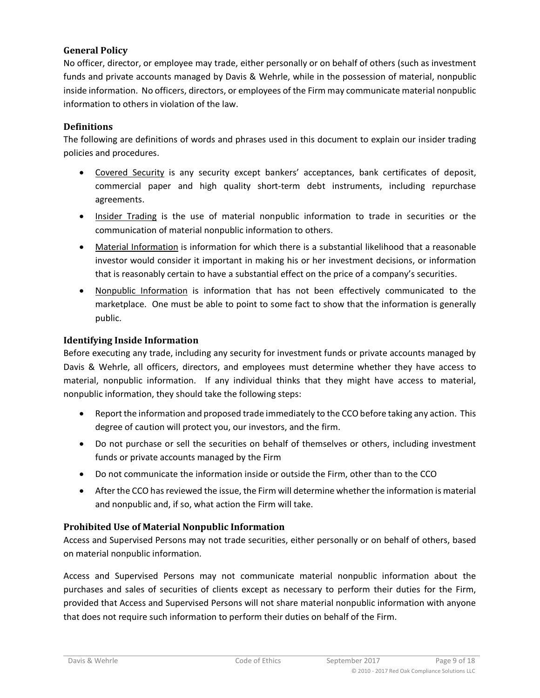#### <span id="page-8-0"></span>**General Policy**

No officer, director, or employee may trade, either personally or on behalf of others (such as investment funds and private accounts managed by Davis & Wehrle, while in the possession of material, nonpublic inside information. No officers, directors, or employees of the Firm may communicate material nonpublic information to others in violation of the law.

#### <span id="page-8-1"></span>**Definitions**

The following are definitions of words and phrases used in this document to explain our insider trading policies and procedures.

- Covered Security is any security except bankers' acceptances, bank certificates of deposit, commercial paper and high quality short-term debt instruments, including repurchase agreements.
- Insider Trading is the use of material nonpublic information to trade in securities or the communication of material nonpublic information to others.
- Material Information is information for which there is a substantial likelihood that a reasonable investor would consider it important in making his or her investment decisions, or information that is reasonably certain to have a substantial effect on the price of a company's securities.
- Nonpublic Information is information that has not been effectively communicated to the marketplace. One must be able to point to some fact to show that the information is generally public.

#### <span id="page-8-2"></span>**Identifying Inside Information**

Before executing any trade, including any security for investment funds or private accounts managed by Davis & Wehrle, all officers, directors, and employees must determine whether they have access to material, nonpublic information. If any individual thinks that they might have access to material, nonpublic information, they should take the following steps:

- Report the information and proposed trade immediately to the CCO before taking any action. This degree of caution will protect you, our investors, and the firm.
- Do not purchase or sell the securities on behalf of themselves or others, including investment funds or private accounts managed by the Firm
- Do not communicate the information inside or outside the Firm, other than to the CCO
- After the CCO has reviewed the issue, the Firm will determine whether the information is material and nonpublic and, if so, what action the Firm will take.

#### <span id="page-8-3"></span>**Prohibited Use of Material Nonpublic Information**

Access and Supervised Persons may not trade securities, either personally or on behalf of others, based on material nonpublic information.

Access and Supervised Persons may not communicate material nonpublic information about the purchases and sales of securities of clients except as necessary to perform their duties for the Firm, provided that Access and Supervised Persons will not share material nonpublic information with anyone that does not require such information to perform their duties on behalf of the Firm.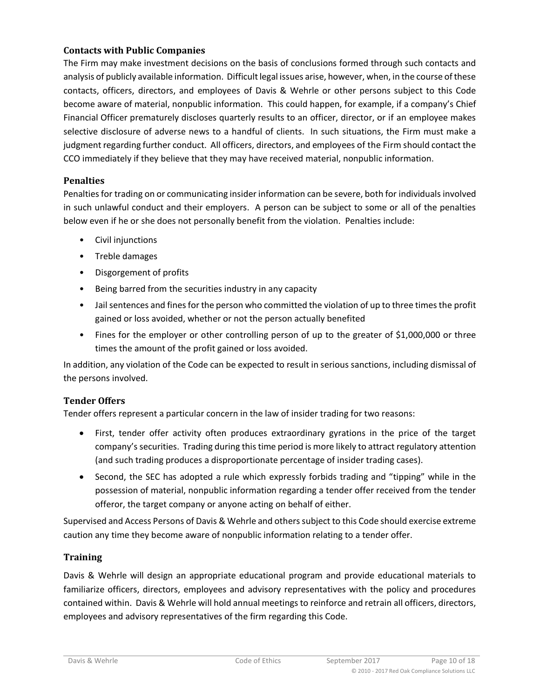#### <span id="page-9-0"></span>**Contacts with Public Companies**

The Firm may make investment decisions on the basis of conclusions formed through such contacts and analysis of publicly available information. Difficult legal issues arise, however, when, in the course of these contacts, officers, directors, and employees of Davis & Wehrle or other persons subject to this Code become aware of material, nonpublic information. This could happen, for example, if a company's Chief Financial Officer prematurely discloses quarterly results to an officer, director, or if an employee makes selective disclosure of adverse news to a handful of clients. In such situations, the Firm must make a judgment regarding further conduct. All officers, directors, and employees of the Firm should contact the CCO immediately if they believe that they may have received material, nonpublic information.

#### <span id="page-9-1"></span>**Penalties**

Penalties for trading on or communicating insider information can be severe, both for individuals involved in such unlawful conduct and their employers. A person can be subject to some or all of the penalties below even if he or she does not personally benefit from the violation. Penalties include:

- Civil injunctions
- Treble damages
- Disgorgement of profits
- Being barred from the securities industry in any capacity
- Jail sentences and fines for the person who committed the violation of up to three times the profit gained or loss avoided, whether or not the person actually benefited
- Fines for the employer or other controlling person of up to the greater of \$1,000,000 or three times the amount of the profit gained or loss avoided.

In addition, any violation of the Code can be expected to result in serious sanctions, including dismissal of the persons involved.

#### <span id="page-9-2"></span>**Tender Offers**

Tender offers represent a particular concern in the law of insider trading for two reasons:

- First, tender offer activity often produces extraordinary gyrations in the price of the target company's securities. Trading during this time period is more likely to attract regulatory attention (and such trading produces a disproportionate percentage of insider trading cases).
- Second, the SEC has adopted a rule which expressly forbids trading and "tipping" while in the possession of material, nonpublic information regarding a tender offer received from the tender offeror, the target company or anyone acting on behalf of either.

Supervised and Access Persons of Davis & Wehrle and others subject to this Code should exercise extreme caution any time they become aware of nonpublic information relating to a tender offer.

#### **Training**

Davis & Wehrle will design an appropriate educational program and provide educational materials to familiarize officers, directors, employees and advisory representatives with the policy and procedures contained within. Davis & Wehrle will hold annual meetings to reinforce and retrain all officers, directors, employees and advisory representatives of the firm regarding this Code.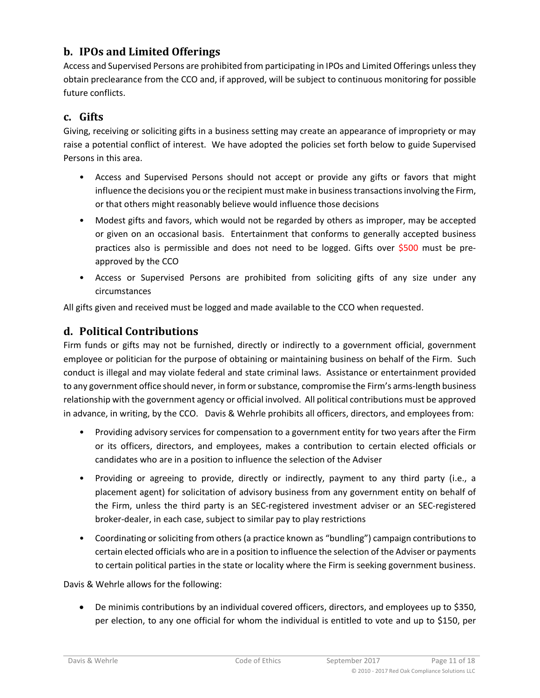## <span id="page-10-0"></span>**b. IPOs and Limited Offerings**

Access and Supervised Persons are prohibited from participating in IPOs and Limited Offerings unless they obtain preclearance from the CCO and, if approved, will be subject to continuous monitoring for possible future conflicts.

## <span id="page-10-1"></span>**c. Gifts**

Giving, receiving or soliciting gifts in a business setting may create an appearance of impropriety or may raise a potential conflict of interest. We have adopted the policies set forth below to guide Supervised Persons in this area.

- Access and Supervised Persons should not accept or provide any gifts or favors that might influence the decisions you or the recipient must make in business transactions involving the Firm, or that others might reasonably believe would influence those decisions
- Modest gifts and favors, which would not be regarded by others as improper, may be accepted or given on an occasional basis. Entertainment that conforms to generally accepted business practices also is permissible and does not need to be logged. Gifts over \$500 must be preapproved by the CCO
- Access or Supervised Persons are prohibited from soliciting gifts of any size under any circumstances

All gifts given and received must be logged and made available to the CCO when requested.

## <span id="page-10-2"></span>**d. Political Contributions**

Firm funds or gifts may not be furnished, directly or indirectly to a government official, government employee or politician for the purpose of obtaining or maintaining business on behalf of the Firm. Such conduct is illegal and may violate federal and state criminal laws. Assistance or entertainment provided to any government office should never, in form or substance, compromise the Firm's arms-length business relationship with the government agency or official involved. All political contributions must be approved in advance, in writing, by the CCO. Davis & Wehrle prohibits all officers, directors, and employees from:

- Providing advisory services for compensation to a government entity for two years after the Firm or its officers, directors, and employees, makes a contribution to certain elected officials or candidates who are in a position to influence the selection of the Adviser
- Providing or agreeing to provide, directly or indirectly, payment to any third party (i.e., a placement agent) for solicitation of advisory business from any government entity on behalf of the Firm, unless the third party is an SEC-registered investment adviser or an SEC-registered broker-dealer, in each case, subject to similar pay to play restrictions
- Coordinating or soliciting from others (a practice known as "bundling") campaign contributions to certain elected officials who are in a position to influence the selection of the Adviser or payments to certain political parties in the state or locality where the Firm is seeking government business.

Davis & Wehrle allows for the following:

• De minimis contributions by an individual covered officers, directors, and employees up to \$350, per election, to any one official for whom the individual is entitled to vote and up to \$150, per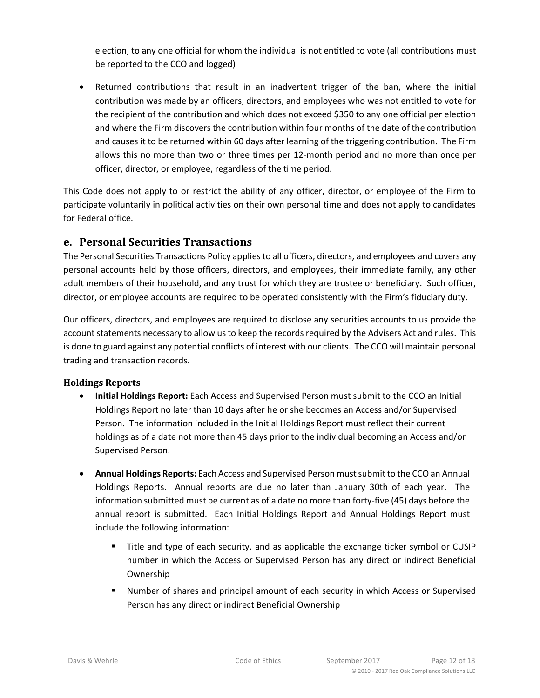election, to any one official for whom the individual is not entitled to vote (all contributions must be reported to the CCO and logged)

• Returned contributions that result in an inadvertent trigger of the ban, where the initial contribution was made by an officers, directors, and employees who was not entitled to vote for the recipient of the contribution and which does not exceed \$350 to any one official per election and where the Firm discovers the contribution within four months of the date of the contribution and causes it to be returned within 60 days after learning of the triggering contribution. The Firm allows this no more than two or three times per 12-month period and no more than once per officer, director, or employee, regardless of the time period.

This Code does not apply to or restrict the ability of any officer, director, or employee of the Firm to participate voluntarily in political activities on their own personal time and does not apply to candidates for Federal office.

## <span id="page-11-0"></span>**e. Personal Securities Transactions**

The Personal Securities Transactions Policy applies to all officers, directors, and employees and covers any personal accounts held by those officers, directors, and employees, their immediate family, any other adult members of their household, and any trust for which they are trustee or beneficiary. Such officer, director, or employee accounts are required to be operated consistently with the Firm's fiduciary duty.

Our officers, directors, and employees are required to disclose any securities accounts to us provide the account statements necessary to allow us to keep the records required by the Advisers Act and rules. This is done to guard against any potential conflicts of interest with our clients. The CCO will maintain personal trading and transaction records.

#### <span id="page-11-1"></span>**Holdings Reports**

- **Initial Holdings Report:** Each Access and Supervised Person must submit to the CCO an Initial Holdings Report no later than 10 days after he or she becomes an Access and/or Supervised Person. The information included in the Initial Holdings Report must reflect their current holdings as of a date not more than 45 days prior to the individual becoming an Access and/or Supervised Person.
- **Annual Holdings Reports:** Each Access and Supervised Person must submit to the CCO an Annual Holdings Reports. Annual reports are due no later than January 30th of each year. The information submitted must be current as of a date no more than forty-five (45) days before the annual report is submitted. Each Initial Holdings Report and Annual Holdings Report must include the following information:
	- Title and type of each security, and as applicable the exchange ticker symbol or CUSIP number in which the Access or Supervised Person has any direct or indirect Beneficial Ownership
	- Number of shares and principal amount of each security in which Access or Supervised Person has any direct or indirect Beneficial Ownership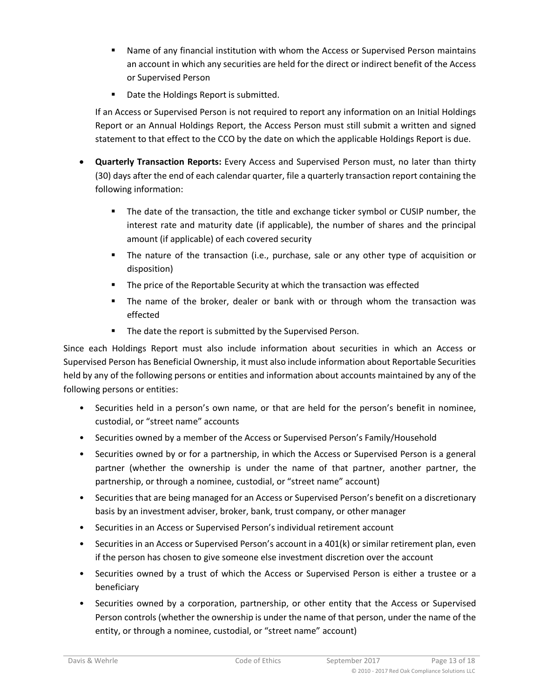- Name of any financial institution with whom the Access or Supervised Person maintains an account in which any securities are held for the direct or indirect benefit of the Access or Supervised Person
- Date the Holdings Report is submitted.

If an Access or Supervised Person is not required to report any information on an Initial Holdings Report or an Annual Holdings Report, the Access Person must still submit a written and signed statement to that effect to the CCO by the date on which the applicable Holdings Report is due.

- **Quarterly Transaction Reports:** Every Access and Supervised Person must, no later than thirty (30) days after the end of each calendar quarter, file a quarterly transaction report containing the following information:
	- The date of the transaction, the title and exchange ticker symbol or CUSIP number, the interest rate and maturity date (if applicable), the number of shares and the principal amount (if applicable) of each covered security
	- The nature of the transaction (i.e., purchase, sale or any other type of acquisition or disposition)
	- **The price of the Reportable Security at which the transaction was effected**
	- **The name of the broker, dealer or bank with or through whom the transaction was** effected
	- **The date the report is submitted by the Supervised Person.**

Since each Holdings Report must also include information about securities in which an Access or Supervised Person has Beneficial Ownership, it must also include information about Reportable Securities held by any of the following persons or entities and information about accounts maintained by any of the following persons or entities:

- Securities held in a person's own name, or that are held for the person's benefit in nominee, custodial, or "street name" accounts
- Securities owned by a member of the Access or Supervised Person's Family/Household
- Securities owned by or for a partnership, in which the Access or Supervised Person is a general partner (whether the ownership is under the name of that partner, another partner, the partnership, or through a nominee, custodial, or "street name" account)
- Securities that are being managed for an Access or Supervised Person's benefit on a discretionary basis by an investment adviser, broker, bank, trust company, or other manager
- Securities in an Access or Supervised Person's individual retirement account
- Securities in an Access or Supervised Person's account in a 401(k) or similar retirement plan, even if the person has chosen to give someone else investment discretion over the account
- Securities owned by a trust of which the Access or Supervised Person is either a trustee or a beneficiary
- Securities owned by a corporation, partnership, or other entity that the Access or Supervised Person controls (whether the ownership is under the name of that person, under the name of the entity, or through a nominee, custodial, or "street name" account)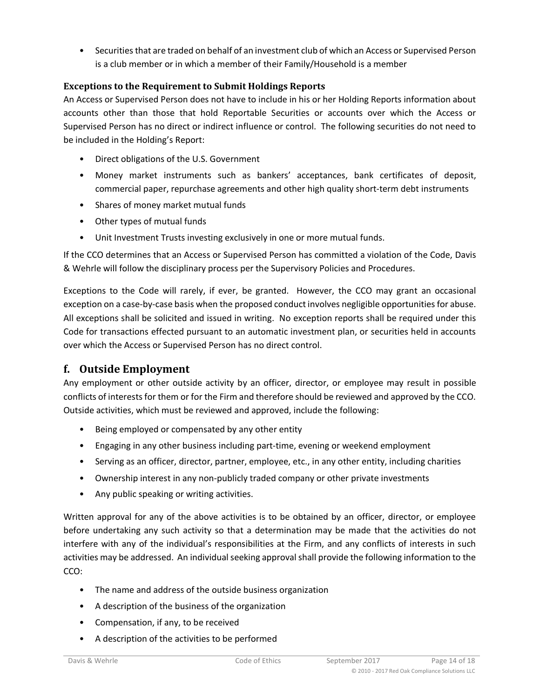• Securities that are traded on behalf of an investment club of which an Access or Supervised Person is a club member or in which a member of their Family/Household is a member

#### <span id="page-13-0"></span>**Exceptions to the Requirement to Submit Holdings Reports**

An Access or Supervised Person does not have to include in his or her Holding Reports information about accounts other than those that hold Reportable Securities or accounts over which the Access or Supervised Person has no direct or indirect influence or control. The following securities do not need to be included in the Holding's Report:

- Direct obligations of the U.S. Government
- Money market instruments such as bankers' acceptances, bank certificates of deposit, commercial paper, repurchase agreements and other high quality short-term debt instruments
- Shares of money market mutual funds
- Other types of mutual funds
- Unit Investment Trusts investing exclusively in one or more mutual funds.

If the CCO determines that an Access or Supervised Person has committed a violation of the Code, Davis & Wehrle will follow the disciplinary process per the Supervisory Policies and Procedures.

Exceptions to the Code will rarely, if ever, be granted. However, the CCO may grant an occasional exception on a case-by-case basis when the proposed conduct involves negligible opportunities for abuse. All exceptions shall be solicited and issued in writing. No exception reports shall be required under this Code for transactions effected pursuant to an automatic investment plan, or securities held in accounts over which the Access or Supervised Person has no direct control.

## <span id="page-13-1"></span>**f. Outside Employment**

Any employment or other outside activity by an officer, director, or employee may result in possible conflicts of interests for them or for the Firm and therefore should be reviewed and approved by the CCO. Outside activities, which must be reviewed and approved, include the following:

- Being employed or compensated by any other entity
- Engaging in any other business including part-time, evening or weekend employment
- Serving as an officer, director, partner, employee, etc., in any other entity, including charities
- Ownership interest in any non-publicly traded company or other private investments
- Any public speaking or writing activities.

Written approval for any of the above activities is to be obtained by an officer, director, or employee before undertaking any such activity so that a determination may be made that the activities do not interfere with any of the individual's responsibilities at the Firm, and any conflicts of interests in such activities may be addressed. An individual seeking approval shall provide the following information to the CCO:

- The name and address of the outside business organization
- A description of the business of the organization
- Compensation, if any, to be received
- A description of the activities to be performed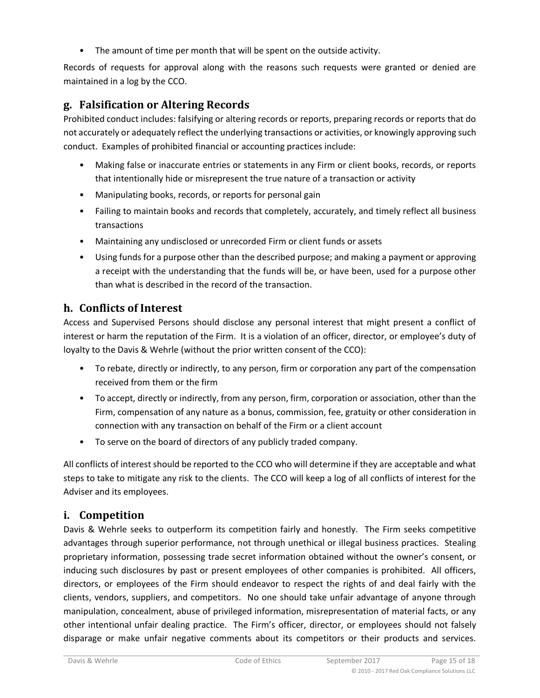• The amount of time per month that will be spent on the outside activity.

Records of requests for approval along with the reasons such requests were granted or denied are maintained in a log by the CCO.

## <span id="page-14-0"></span>**g. Falsification or Altering Records**

Prohibited conduct includes: falsifying or altering records or reports, preparing records or reports that do not accurately or adequately reflect the underlying transactions or activities, or knowingly approving such conduct. Examples of prohibited financial or accounting practices include:

- Making false or inaccurate entries or statements in any Firm or client books, records, or reports that intentionally hide or misrepresent the true nature of a transaction or activity
- Manipulating books, records, or reports for personal gain
- Failing to maintain books and records that completely, accurately, and timely reflect all business transactions
- Maintaining any undisclosed or unrecorded Firm or client funds or assets
- Using funds for a purpose other than the described purpose; and making a payment or approving a receipt with the understanding that the funds will be, or have been, used for a purpose other than what is described in the record of the transaction.

## <span id="page-14-1"></span>**h. Conflicts of Interest**

Access and Supervised Persons should disclose any personal interest that might present a conflict of interest or harm the reputation of the Firm. It is a violation of an officer, director, or employee's duty of loyalty to the Davis & Wehrle (without the prior written consent of the CCO):

- To rebate, directly or indirectly, to any person, firm or corporation any part of the compensation received from them or the firm
- To accept, directly or indirectly, from any person, firm, corporation or association, other than the Firm, compensation of any nature as a bonus, commission, fee, gratuity or other consideration in connection with any transaction on behalf of the Firm or a client account
- To serve on the board of directors of any publicly traded company.

All conflicts of interest should be reported to the CCO who will determine if they are acceptable and what steps to take to mitigate any risk to the clients. The CCO will keep a log of all conflicts of interest for the Adviser and its employees.

## <span id="page-14-2"></span>**i. Competition**

Davis & Wehrle seeks to outperform its competition fairly and honestly. The Firm seeks competitive advantages through superior performance, not through unethical or illegal business practices. Stealing proprietary information, possessing trade secret information obtained without the owner's consent, or inducing such disclosures by past or present employees of other companies is prohibited. All officers, directors, or employees of the Firm should endeavor to respect the rights of and deal fairly with the clients, vendors, suppliers, and competitors. No one should take unfair advantage of anyone through manipulation, concealment, abuse of privileged information, misrepresentation of material facts, or any other intentional unfair dealing practice. The Firm's officer, director, or employees should not falsely disparage or make unfair negative comments about its competitors or their products and services.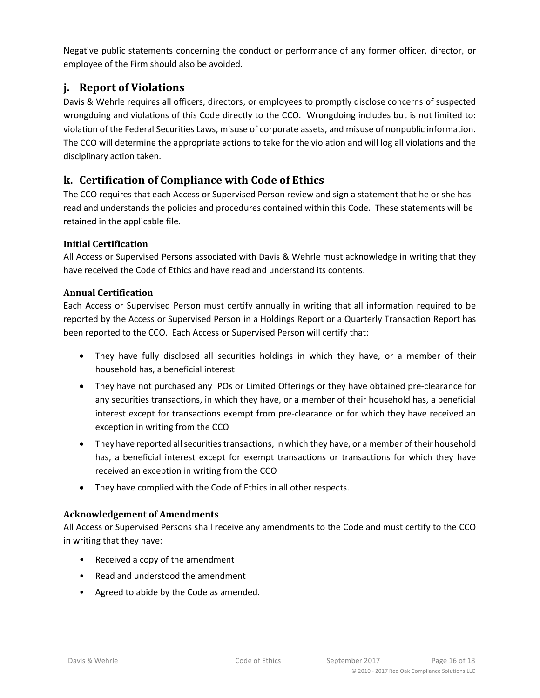Negative public statements concerning the conduct or performance of any former officer, director, or employee of the Firm should also be avoided.

# <span id="page-15-0"></span>**j. Report of Violations**

Davis & Wehrle requires all officers, directors, or employees to promptly disclose concerns of suspected wrongdoing and violations of this Code directly to the CCO. Wrongdoing includes but is not limited to: violation of the Federal Securities Laws, misuse of corporate assets, and misuse of nonpublic information. The CCO will determine the appropriate actions to take for the violation and will log all violations and the disciplinary action taken.

# <span id="page-15-1"></span>**k. Certification of Compliance with Code of Ethics**

The CCO requires that each Access or Supervised Person review and sign a statement that he or she has read and understands the policies and procedures contained within this Code. These statements will be retained in the applicable file.

### <span id="page-15-2"></span>**Initial Certification**

All Access or Supervised Persons associated with Davis & Wehrle must acknowledge in writing that they have received the Code of Ethics and have read and understand its contents.

#### <span id="page-15-3"></span>**Annual Certification**

Each Access or Supervised Person must certify annually in writing that all information required to be reported by the Access or Supervised Person in a Holdings Report or a Quarterly Transaction Report has been reported to the CCO. Each Access or Supervised Person will certify that:

- They have fully disclosed all securities holdings in which they have, or a member of their household has, a beneficial interest
- They have not purchased any IPOs or Limited Offerings or they have obtained pre-clearance for any securities transactions, in which they have, or a member of their household has, a beneficial interest except for transactions exempt from pre-clearance or for which they have received an exception in writing from the CCO
- They have reported all securities transactions, in which they have, or a member of their household has, a beneficial interest except for exempt transactions or transactions for which they have received an exception in writing from the CCO
- They have complied with the Code of Ethics in all other respects.

### <span id="page-15-4"></span>**Acknowledgement of Amendments**

All Access or Supervised Persons shall receive any amendments to the Code and must certify to the CCO in writing that they have:

- Received a copy of the amendment
- Read and understood the amendment
- Agreed to abide by the Code as amended.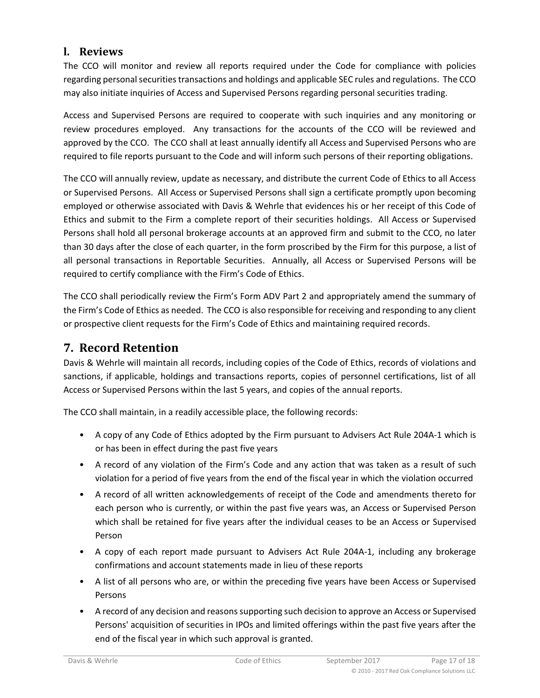## <span id="page-16-0"></span>**l. Reviews**

The CCO will monitor and review all reports required under the Code for compliance with policies regarding personal securities transactions and holdings and applicable SEC rules and regulations. The CCO may also initiate inquiries of Access and Supervised Persons regarding personal securities trading.

Access and Supervised Persons are required to cooperate with such inquiries and any monitoring or review procedures employed. Any transactions for the accounts of the CCO will be reviewed and approved by the CCO. The CCO shall at least annually identify all Access and Supervised Persons who are required to file reports pursuant to the Code and will inform such persons of their reporting obligations.

The CCO will annually review, update as necessary, and distribute the current Code of Ethics to all Access or Supervised Persons. All Access or Supervised Persons shall sign a certificate promptly upon becoming employed or otherwise associated with Davis & Wehrle that evidences his or her receipt of this Code of Ethics and submit to the Firm a complete report of their securities holdings. All Access or Supervised Persons shall hold all personal brokerage accounts at an approved firm and submit to the CCO, no later than 30 days after the close of each quarter, in the form proscribed by the Firm for this purpose, a list of all personal transactions in Reportable Securities. Annually, all Access or Supervised Persons will be required to certify compliance with the Firm's Code of Ethics.

The CCO shall periodically review the Firm's Form ADV Part 2 and appropriately amend the summary of the Firm's Code of Ethics as needed. The CCO is also responsible for receiving and responding to any client or prospective client requests for the Firm's Code of Ethics and maintaining required records.

# <span id="page-16-1"></span>**7. Record Retention**

Davis & Wehrle will maintain all records, including copies of the Code of Ethics, records of violations and sanctions, if applicable, holdings and transactions reports, copies of personnel certifications, list of all Access or Supervised Persons within the last 5 years, and copies of the annual reports.

The CCO shall maintain, in a readily accessible place, the following records:

- A copy of any Code of Ethics adopted by the Firm pursuant to Advisers Act Rule 204A-1 which is or has been in effect during the past five years
- A record of any violation of the Firm's Code and any action that was taken as a result of such violation for a period of five years from the end of the fiscal year in which the violation occurred
- A record of all written acknowledgements of receipt of the Code and amendments thereto for each person who is currently, or within the past five years was, an Access or Supervised Person which shall be retained for five years after the individual ceases to be an Access or Supervised Person
- A copy of each report made pursuant to Advisers Act Rule 204A-1, including any brokerage confirmations and account statements made in lieu of these reports
- A list of all persons who are, or within the preceding five years have been Access or Supervised Persons
- A record of any decision and reasons supporting such decision to approve an Access or Supervised Persons' acquisition of securities in IPOs and limited offerings within the past five years after the end of the fiscal year in which such approval is granted.